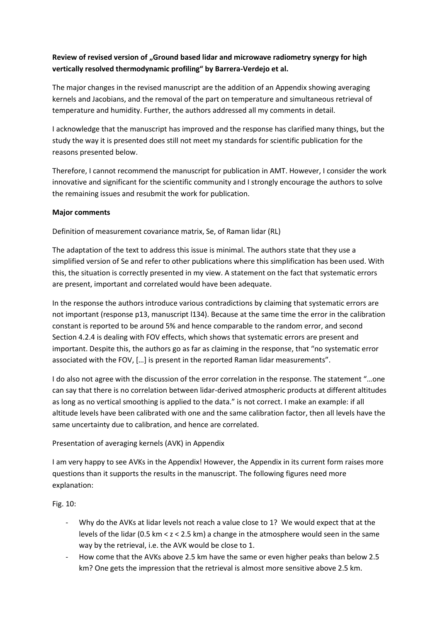# **Review of revised version of "Ground based lidar and microwave radiometry synergy for high vertically resolved thermodynamic profiling" by Barrera-Verdejo et al.**

The major changes in the revised manuscript are the addition of an Appendix showing averaging kernels and Jacobians, and the removal of the part on temperature and simultaneous retrieval of temperature and humidity. Further, the authors addressed all my comments in detail.

I acknowledge that the manuscript has improved and the response has clarified many things, but the study the way it is presented does still not meet my standards for scientific publication for the reasons presented below.

Therefore, I cannot recommend the manuscript for publication in AMT. However, I consider the work innovative and significant for the scientific community and I strongly encourage the authors to solve the remaining issues and resubmit the work for publication.

### **Major comments**

Definition of measurement covariance matrix, Se, of Raman lidar (RL)

The adaptation of the text to address this issue is minimal. The authors state that they use a simplified version of Se and refer to other publications where this simplification has been used. With this, the situation is correctly presented in my view. A statement on the fact that systematic errors are present, important and correlated would have been adequate.

In the response the authors introduce various contradictions by claiming that systematic errors are not important (response p13, manuscript l134). Because at the same time the error in the calibration constant is reported to be around 5% and hence comparable to the random error, and second Section 4.2.4 is dealing with FOV effects, which shows that systematic errors are present and important. Despite this, the authors go as far as claiming in the response, that "no systematic error associated with the FOV, […] is present in the reported Raman lidar measurements".

I do also not agree with the discussion of the error correlation in the response. The statement "…one can say that there is no correlation between lidar-derived atmospheric products at different altitudes as long as no vertical smoothing is applied to the data." is not correct. I make an example: if all altitude levels have been calibrated with one and the same calibration factor, then all levels have the same uncertainty due to calibration, and hence are correlated.

### Presentation of averaging kernels (AVK) in Appendix

I am very happy to see AVKs in the Appendix! However, the Appendix in its current form raises more questions than it supports the results in the manuscript. The following figures need more explanation:

Fig. 10:

- Why do the AVKs at lidar levels not reach a value close to 1? We would expect that at the levels of the lidar (0.5 km < z < 2.5 km) a change in the atmosphere would seen in the same way by the retrieval, i.e. the AVK would be close to 1.
- How come that the AVKs above 2.5 km have the same or even higher peaks than below 2.5 km? One gets the impression that the retrieval is almost more sensitive above 2.5 km.